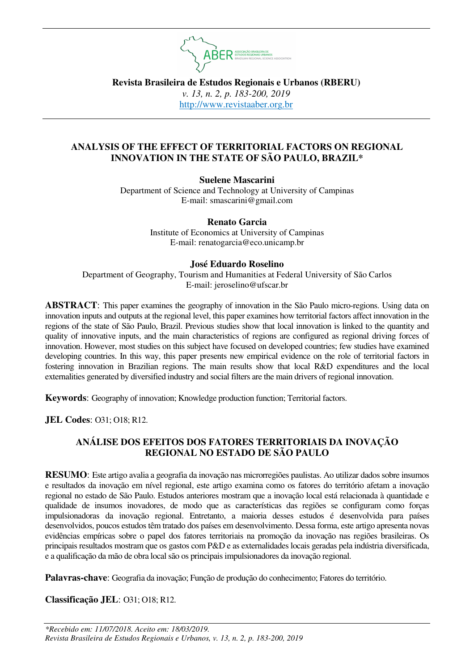

**Revista Brasileira de Estudos Regionais e Urbanos (RBERU)**  *v. 13, n. 2, p. 183-200, 2019*  http://www.revistaaber.org.br

# **ANALYSIS OF THE EFFECT OF TERRITORIAL FACTORS ON REGIONAL INNOVATION IN THE STATE OF SÃO PAULO, BRAZIL\***

**Suelene Mascarini** 

Department of Science and Technology at University of Campinas E-mail: smascarini@gmail.com

## **Renato Garcia**

Institute of Economics at University of Campinas E-mail: renatogarcia@eco.unicamp.br

## **José Eduardo Roselino**

Department of Geography, Tourism and Humanities at Federal University of São Carlos E-mail: jeroselino@ufscar.br

**ABSTRACT**: This paper examines the geography of innovation in the São Paulo micro-regions. Using data on innovation inputs and outputs at the regional level, this paper examines how territorial factors affect innovation in the regions of the state of São Paulo, Brazil. Previous studies show that local innovation is linked to the quantity and quality of innovative inputs, and the main characteristics of regions are configured as regional driving forces of innovation. However, most studies on this subject have focused on developed countries; few studies have examined developing countries. In this way, this paper presents new empirical evidence on the role of territorial factors in fostering innovation in Brazilian regions. The main results show that local R&D expenditures and the local externalities generated by diversified industry and social filters are the main drivers of regional innovation.

**Keywords**: Geography of innovation; Knowledge production function; Territorial factors.

**JEL Codes**: O31; O18; R12.

## **ANÁLISE DOS EFEITOS DOS FATORES TERRITORIAIS DA INOVAÇÃO REGIONAL NO ESTADO DE SÃO PAULO**

**RESUMO**: Este artigo avalia a geografia da inovação nas microrregiões paulistas. Ao utilizar dados sobre insumos e resultados da inovação em nível regional, este artigo examina como os fatores do território afetam a inovação regional no estado de São Paulo. Estudos anteriores mostram que a inovação local está relacionada à quantidade e qualidade de insumos inovadores, de modo que as características das regiões se configuram como forças impulsionadoras da inovação regional. Entretanto, a maioria desses estudos é desenvolvida para países desenvolvidos, poucos estudos têm tratado dos países em desenvolvimento. Dessa forma, este artigo apresenta novas evidências empíricas sobre o papel dos fatores territoriais na promoção da inovação nas regiões brasileiras. Os principais resultados mostram que os gastos com P&D e as externalidades locais geradas pela indústria diversificada, e a qualificação da mão de obra local são os principais impulsionadores da inovação regional.

**Palavras-chave**: Geografia da inovação; Função de produção do conhecimento; Fatores do território.

## **Classificação JEL**: O31; O18; R12.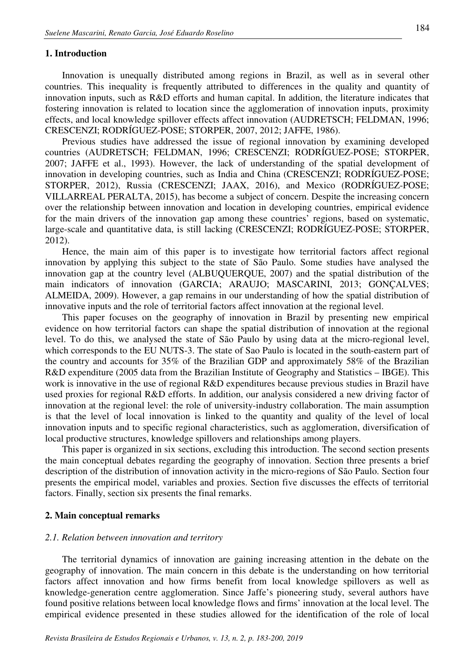#### **1. Introduction**

Innovation is unequally distributed among regions in Brazil, as well as in several other countries. This inequality is frequently attributed to differences in the quality and quantity of innovation inputs, such as R&D efforts and human capital. In addition, the literature indicates that fostering innovation is related to location since the agglomeration of innovation inputs, proximity effects, and local knowledge spillover effects affect innovation (AUDRETSCH; FELDMAN, 1996; CRESCENZI; RODRÍGUEZ-POSE; STORPER, 2007, 2012; JAFFE, 1986).

Previous studies have addressed the issue of regional innovation by examining developed countries (AUDRETSCH; FELDMAN, 1996; CRESCENZI; RODRÍGUEZ-POSE; STORPER, 2007; JAFFE et al., 1993). However, the lack of understanding of the spatial development of innovation in developing countries, such as India and China (CRESCENZI; RODRÍGUEZ-POSE; STORPER, 2012), Russia (CRESCENZI; JAAX, 2016), and Mexico (RODRÍGUEZ-POSE; VILLARREAL PERALTA, 2015), has become a subject of concern. Despite the increasing concern over the relationship between innovation and location in developing countries, empirical evidence for the main drivers of the innovation gap among these countries' regions, based on systematic, large-scale and quantitative data, is still lacking (CRESCENZI; RODRÍGUEZ-POSE; STORPER, 2012).

Hence, the main aim of this paper is to investigate how territorial factors affect regional innovation by applying this subject to the state of São Paulo. Some studies have analysed the innovation gap at the country level (ALBUQUERQUE, 2007) and the spatial distribution of the main indicators of innovation (GARCIA; ARAUJO; MASCARINI, 2013; GONÇALVES; ALMEIDA, 2009). However, a gap remains in our understanding of how the spatial distribution of innovative inputs and the role of territorial factors affect innovation at the regional level.

This paper focuses on the geography of innovation in Brazil by presenting new empirical evidence on how territorial factors can shape the spatial distribution of innovation at the regional level. To do this, we analysed the state of São Paulo by using data at the micro-regional level, which corresponds to the EU NUTS-3. The state of Sao Paulo is located in the south-eastern part of the country and accounts for 35% of the Brazilian GDP and approximately 58% of the Brazilian R&D expenditure (2005 data from the Brazilian Institute of Geography and Statistics – IBGE). This work is innovative in the use of regional R&D expenditures because previous studies in Brazil have used proxies for regional R&D efforts. In addition, our analysis considered a new driving factor of innovation at the regional level: the role of university-industry collaboration. The main assumption is that the level of local innovation is linked to the quantity and quality of the level of local innovation inputs and to specific regional characteristics, such as agglomeration, diversification of local productive structures, knowledge spillovers and relationships among players.

This paper is organized in six sections, excluding this introduction. The second section presents the main conceptual debates regarding the geography of innovation. Section three presents a brief description of the distribution of innovation activity in the micro-regions of São Paulo. Section four presents the empirical model, variables and proxies. Section five discusses the effects of territorial factors. Finally, section six presents the final remarks.

#### **2. Main conceptual remarks**

#### *2.1. Relation between innovation and territory*

The territorial dynamics of innovation are gaining increasing attention in the debate on the geography of innovation. The main concern in this debate is the understanding on how territorial factors affect innovation and how firms benefit from local knowledge spillovers as well as knowledge-generation centre agglomeration. Since Jaffe's pioneering study, several authors have found positive relations between local knowledge flows and firms' innovation at the local level. The empirical evidence presented in these studies allowed for the identification of the role of local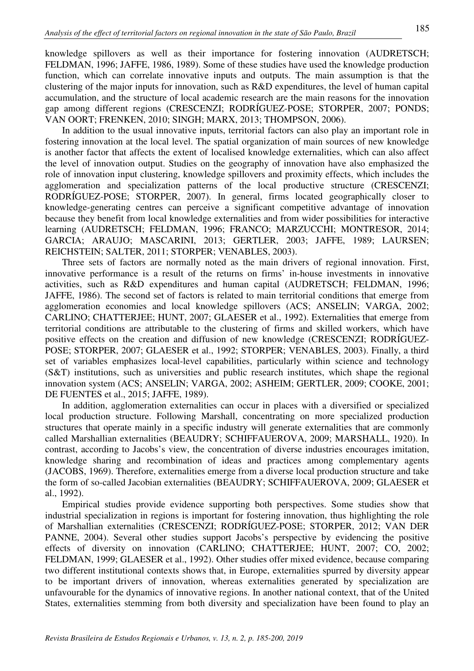knowledge spillovers as well as their importance for fostering innovation (AUDRETSCH; FELDMAN, 1996; JAFFE, 1986, 1989). Some of these studies have used the knowledge production function, which can correlate innovative inputs and outputs. The main assumption is that the clustering of the major inputs for innovation, such as R&D expenditures, the level of human capital accumulation, and the structure of local academic research are the main reasons for the innovation gap among different regions (CRESCENZI; RODRÍGUEZ-POSE; STORPER, 2007; PONDS; VAN OORT; FRENKEN, 2010; SINGH; MARX, 2013; THOMPSON, 2006).

In addition to the usual innovative inputs, territorial factors can also play an important role in fostering innovation at the local level. The spatial organization of main sources of new knowledge is another factor that affects the extent of localised knowledge externalities, which can also affect the level of innovation output. Studies on the geography of innovation have also emphasized the role of innovation input clustering, knowledge spillovers and proximity effects, which includes the agglomeration and specialization patterns of the local productive structure (CRESCENZI; RODRÍGUEZ-POSE; STORPER, 2007). In general, firms located geographically closer to knowledge-generating centres can perceive a significant competitive advantage of innovation because they benefit from local knowledge externalities and from wider possibilities for interactive learning (AUDRETSCH; FELDMAN, 1996; FRANCO; MARZUCCHI; MONTRESOR, 2014; GARCIA; ARAUJO; MASCARINI, 2013; GERTLER, 2003; JAFFE, 1989; LAURSEN; REICHSTEIN; SALTER, 2011; STORPER; VENABLES, 2003).

Three sets of factors are normally noted as the main drivers of regional innovation. First, innovative performance is a result of the returns on firms' in-house investments in innovative activities, such as R&D expenditures and human capital (AUDRETSCH; FELDMAN, 1996; JAFFE, 1986). The second set of factors is related to main territorial conditions that emerge from agglomeration economies and local knowledge spillovers (ACS; ANSELIN; VARGA, 2002; CARLINO; CHATTERJEE; HUNT, 2007; GLAESER et al., 1992). Externalities that emerge from territorial conditions are attributable to the clustering of firms and skilled workers, which have positive effects on the creation and diffusion of new knowledge (CRESCENZI; RODRÍGUEZ-POSE; STORPER, 2007; GLAESER et al., 1992; STORPER; VENABLES, 2003). Finally, a third set of variables emphasizes local-level capabilities, particularly within science and technology (S&T) institutions, such as universities and public research institutes, which shape the regional innovation system (ACS; ANSELIN; VARGA, 2002; ASHEIM; GERTLER, 2009; COOKE, 2001; DE FUENTES et al., 2015; JAFFE, 1989).

In addition, agglomeration externalities can occur in places with a diversified or specialized local production structure. Following Marshall, concentrating on more specialized production structures that operate mainly in a specific industry will generate externalities that are commonly called Marshallian externalities (BEAUDRY; SCHIFFAUEROVA, 2009; MARSHALL, 1920). In contrast, according to Jacobs's view, the concentration of diverse industries encourages imitation, knowledge sharing and recombination of ideas and practices among complementary agents (JACOBS, 1969). Therefore, externalities emerge from a diverse local production structure and take the form of so-called Jacobian externalities (BEAUDRY; SCHIFFAUEROVA, 2009; GLAESER et al., 1992).

Empirical studies provide evidence supporting both perspectives. Some studies show that industrial specialization in regions is important for fostering innovation, thus highlighting the role of Marshallian externalities (CRESCENZI; RODRÍGUEZ-POSE; STORPER, 2012; VAN DER PANNE, 2004). Several other studies support Jacobs's perspective by evidencing the positive effects of diversity on innovation (CARLINO; CHATTERJEE; HUNT, 2007; CO, 2002; FELDMAN, 1999; GLAESER et al., 1992). Other studies offer mixed evidence, because comparing two different institutional contexts shows that, in Europe, externalities spurred by diversity appear to be important drivers of innovation, whereas externalities generated by specialization are unfavourable for the dynamics of innovative regions. In another national context, that of the United States, externalities stemming from both diversity and specialization have been found to play an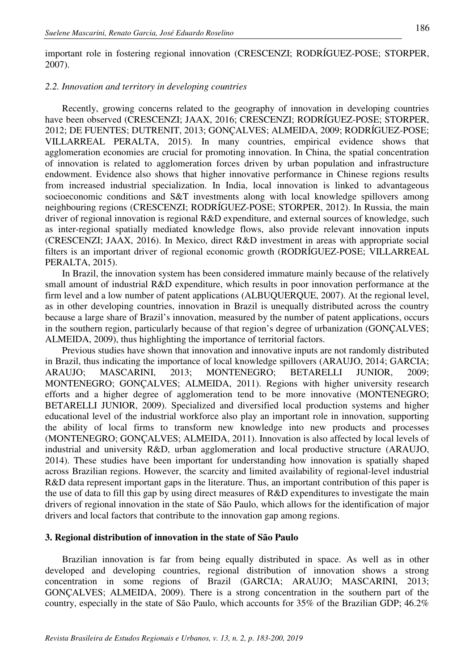important role in fostering regional innovation (CRESCENZI; RODRÍGUEZ-POSE; STORPER, 2007).

#### *2.2. Innovation and territory in developing countries*

Recently, growing concerns related to the geography of innovation in developing countries have been observed (CRESCENZI; JAAX, 2016; CRESCENZI; RODRÍGUEZ-POSE; STORPER, 2012; DE FUENTES; DUTRENIT, 2013; GONÇALVES; ALMEIDA, 2009; RODRÍGUEZ-POSE; VILLARREAL PERALTA, 2015). In many countries, empirical evidence shows that agglomeration economies are crucial for promoting innovation. In China, the spatial concentration of innovation is related to agglomeration forces driven by urban population and infrastructure endowment. Evidence also shows that higher innovative performance in Chinese regions results from increased industrial specialization. In India, local innovation is linked to advantageous socioeconomic conditions and S&T investments along with local knowledge spillovers among neighbouring regions (CRESCENZI; RODRÍGUEZ-POSE; STORPER, 2012). In Russia, the main driver of regional innovation is regional R&D expenditure, and external sources of knowledge, such as inter-regional spatially mediated knowledge flows, also provide relevant innovation inputs (CRESCENZI; JAAX, 2016). In Mexico, direct R&D investment in areas with appropriate social filters is an important driver of regional economic growth (RODRÍGUEZ-POSE; VILLARREAL PERALTA, 2015).

In Brazil, the innovation system has been considered immature mainly because of the relatively small amount of industrial R&D expenditure, which results in poor innovation performance at the firm level and a low number of patent applications (ALBUQUERQUE, 2007). At the regional level, as in other developing countries, innovation in Brazil is unequally distributed across the country because a large share of Brazil's innovation, measured by the number of patent applications, occurs in the southern region, particularly because of that region's degree of urbanization (GONÇALVES; ALMEIDA, 2009), thus highlighting the importance of territorial factors.

Previous studies have shown that innovation and innovative inputs are not randomly distributed in Brazil, thus indicating the importance of local knowledge spillovers (ARAUJO, 2014; GARCIA; ARAUJO; MASCARINI, 2013; MONTENEGRO; BETARELLI JUNIOR, 2009; MONTENEGRO; GONÇALVES; ALMEIDA, 2011). Regions with higher university research efforts and a higher degree of agglomeration tend to be more innovative (MONTENEGRO; BETARELLI JUNIOR, 2009). Specialized and diversified local production systems and higher educational level of the industrial workforce also play an important role in innovation, supporting the ability of local firms to transform new knowledge into new products and processes (MONTENEGRO; GONÇALVES; ALMEIDA, 2011). Innovation is also affected by local levels of industrial and university R&D, urban agglomeration and local productive structure (ARAUJO, 2014). These studies have been important for understanding how innovation is spatially shaped across Brazilian regions. However, the scarcity and limited availability of regional-level industrial R&D data represent important gaps in the literature. Thus, an important contribution of this paper is the use of data to fill this gap by using direct measures of R&D expenditures to investigate the main drivers of regional innovation in the state of São Paulo, which allows for the identification of major drivers and local factors that contribute to the innovation gap among regions.

### **3. Regional distribution of innovation in the state of São Paulo**

Brazilian innovation is far from being equally distributed in space. As well as in other developed and developing countries, regional distribution of innovation shows a strong concentration in some regions of Brazil (GARCIA; ARAUJO; MASCARINI, 2013; GONÇALVES; ALMEIDA, 2009). There is a strong concentration in the southern part of the country, especially in the state of São Paulo, which accounts for 35% of the Brazilian GDP; 46.2%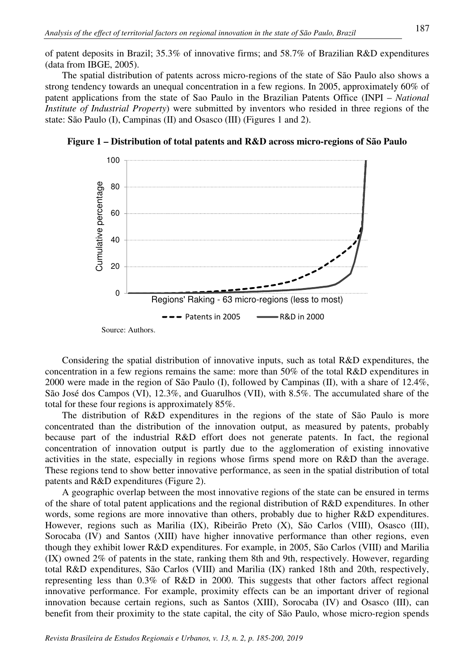of patent deposits in Brazil; 35.3% of innovative firms; and 58.7% of Brazilian R&D expenditures (data from IBGE, 2005).

The spatial distribution of patents across micro-regions of the state of São Paulo also shows a strong tendency towards an unequal concentration in a few regions. In 2005, approximately 60% of patent applications from the state of Sao Paulo in the Brazilian Patents Office (INPI – *National Institute of Industrial Property*) were submitted by inventors who resided in three regions of the state: São Paulo (I), Campinas (II) and Osasco (III) (Figures 1 and 2).



**Figure 1 – Distribution of total patents and R&D across micro-regions of São Paulo** 

Considering the spatial distribution of innovative inputs, such as total R&D expenditures, the concentration in a few regions remains the same: more than 50% of the total R&D expenditures in 2000 were made in the region of São Paulo (I), followed by Campinas (II), with a share of 12.4%, São José dos Campos (VI), 12.3%, and Guarulhos (VII), with 8.5%. The accumulated share of the total for these four regions is approximately 85%.

The distribution of R&D expenditures in the regions of the state of São Paulo is more concentrated than the distribution of the innovation output, as measured by patents, probably because part of the industrial R&D effort does not generate patents. In fact, the regional concentration of innovation output is partly due to the agglomeration of existing innovative activities in the state, especially in regions whose firms spend more on R&D than the average. These regions tend to show better innovative performance, as seen in the spatial distribution of total patents and R&D expenditures (Figure 2).

A geographic overlap between the most innovative regions of the state can be ensured in terms of the share of total patent applications and the regional distribution of R&D expenditures. In other words, some regions are more innovative than others, probably due to higher R&D expenditures. However, regions such as Marilia (IX), Ribeirão Preto (X), São Carlos (VIII), Osasco (III), Sorocaba (IV) and Santos (XIII) have higher innovative performance than other regions, even though they exhibit lower R&D expenditures. For example, in 2005, São Carlos (VIII) and Marilia (IX) owned 2% of patents in the state, ranking them 8th and 9th, respectively. However, regarding total R&D expenditures, São Carlos (VIII) and Marilia (IX) ranked 18th and 20th, respectively, representing less than 0.3% of R&D in 2000. This suggests that other factors affect regional innovative performance. For example, proximity effects can be an important driver of regional innovation because certain regions, such as Santos (XIII), Sorocaba (IV) and Osasco (III), can benefit from their proximity to the state capital, the city of São Paulo, whose micro-region spends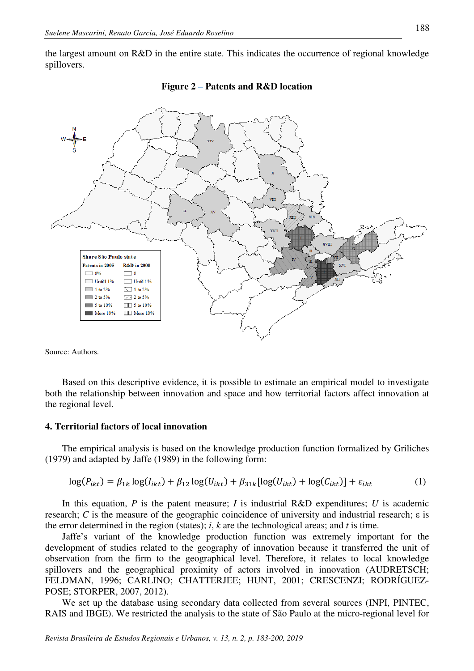the largest amount on R&D in the entire state. This indicates the occurrence of regional knowledge spillovers.





Source: Authors.

Based on this descriptive evidence, it is possible to estimate an empirical model to investigate both the relationship between innovation and space and how territorial factors affect innovation at the regional level.

### **4. Territorial factors of local innovation**

The empirical analysis is based on the knowledge production function formalized by Griliches (1979) and adapted by Jaffe (1989) in the following form:

$$
\log(P_{ikt}) = \beta_{1k} \log(I_{ikt}) + \beta_{12} \log(U_{ikt}) + \beta_{31k} [\log(U_{ikt}) + \log(C_{ikt})] + \varepsilon_{ikt}
$$
 (1)

In this equation, *P* is the patent measure; *I* is industrial R&D expenditures; *U* is academic research; *C* is the measure of the geographic coincidence of university and industrial research; ε is the error determined in the region (states); *i*, *k* are the technological areas; and *t* is time.

Jaffe's variant of the knowledge production function was extremely important for the development of studies related to the geography of innovation because it transferred the unit of observation from the firm to the geographical level. Therefore, it relates to local knowledge spillovers and the geographical proximity of actors involved in innovation (AUDRETSCH; FELDMAN, 1996; CARLINO; CHATTERJEE; HUNT, 2001; CRESCENZI; RODRÍGUEZ-POSE; STORPER, 2007, 2012).

We set up the database using secondary data collected from several sources (INPI, PINTEC, RAIS and IBGE). We restricted the analysis to the state of São Paulo at the micro-regional level for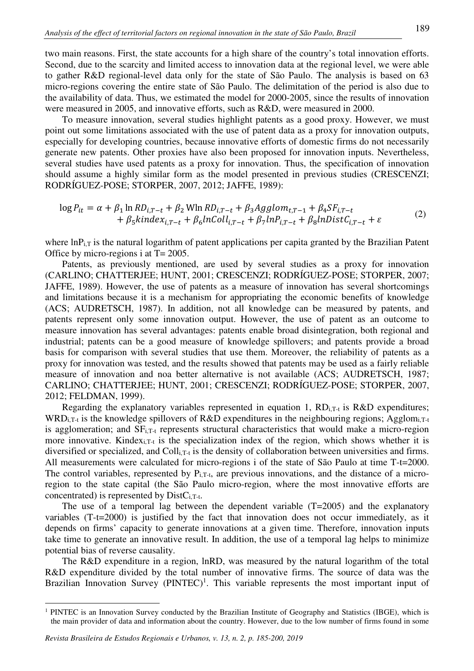two main reasons. First, the state accounts for a high share of the country's total innovation efforts. Second, due to the scarcity and limited access to innovation data at the regional level, we were able to gather R&D regional-level data only for the state of São Paulo. The analysis is based on 63 micro-regions covering the entire state of São Paulo. The delimitation of the period is also due to the availability of data. Thus, we estimated the model for 2000-2005, since the results of innovation were measured in 2005, and innovative efforts, such as R&D, were measured in 2000.

To measure innovation, several studies highlight patents as a good proxy. However, we must point out some limitations associated with the use of patent data as a proxy for innovation outputs, especially for developing countries, because innovative efforts of domestic firms do not necessarily generate new patents. Other proxies have also been proposed for innovation inputs. Nevertheless, several studies have used patents as a proxy for innovation. Thus, the specification of innovation should assume a highly similar form as the model presented in previous studies (CRESCENZI; RODRÍGUEZ-POSE; STORPER, 2007, 2012; JAFFE, 1989):

$$
\log P_{it} = \alpha + \beta_1 \ln R D_{i,T-t} + \beta_2 \text{Wln} R D_{i,T-t} + \beta_3 Agglom_{t,T-1} + \beta_4 SF_{i,T-t} + \beta_5 kindex_{i,T-t} + \beta_6 lnColl_{i,T-t} + \beta_7 ln P_{i,T-t} + \beta_8 lnDistC_{i,T-t} + \varepsilon
$$
 (2)

where  $\ln P_{i,T}$  is the natural logarithm of patent applications per capita granted by the Brazilian Patent Office by micro-regions i at T= 2005.

Patents, as previously mentioned, are used by several studies as a proxy for innovation (CARLINO; CHATTERJEE; HUNT, 2001; CRESCENZI; RODRÍGUEZ-POSE; STORPER, 2007; JAFFE, 1989). However, the use of patents as a measure of innovation has several shortcomings and limitations because it is a mechanism for appropriating the economic benefits of knowledge (ACS; AUDRETSCH, 1987). In addition, not all knowledge can be measured by patents, and patents represent only some innovation output. However, the use of patent as an outcome to measure innovation has several advantages: patents enable broad disintegration, both regional and industrial; patents can be a good measure of knowledge spillovers; and patents provide a broad basis for comparison with several studies that use them. Moreover, the reliability of patents as a proxy for innovation was tested, and the results showed that patents may be used as a fairly reliable measure of innovation and noa better alternative is not available (ACS; AUDRETSCH, 1987; CARLINO; CHATTERJEE; HUNT, 2001; CRESCENZI; RODRÍGUEZ-POSE; STORPER, 2007, 2012; FELDMAN, 1999).

Regarding the explanatory variables represented in equation 1,  $RD_{i,T-t}$  is  $R&D$  expenditures; WRD<sub>i,T-t</sub> is the knowledge spillovers of R&D expenditures in the neighbouring regions; Agglom<sub>i,T-t</sub> is agglomeration; and  $SF_{i,T-t}$  represents structural characteristics that would make a micro-region more innovative. Kindex<sub>i.T-t</sub> is the specialization index of the region, which shows whether it is diversified or specialized, and  $Coll_{i,T-t}$  is the density of collaboration between universities and firms. All measurements were calculated for micro-regions i of the state of São Paulo at time T-t=2000. The control variables, represented by  $P_{i,T-t}$ , are previous innovations, and the distance of a microregion to the state capital (the São Paulo micro-region, where the most innovative efforts are concentrated) is represented by  $DistC_{i,T-t}$ .

The use of a temporal lag between the dependent variable (T=2005) and the explanatory variables (T-t=2000) is justified by the fact that innovation does not occur immediately, as it depends on firms' capacity to generate innovations at a given time. Therefore, innovation inputs take time to generate an innovative result. In addition, the use of a temporal lag helps to minimize potential bias of reverse causality.

The R&D expenditure in a region, lnRD, was measured by the natural logarithm of the total R&D expenditure divided by the total number of innovative firms. The source of data was the Brazilian Innovation Survey  $(PINTEC)^1$ . This variable represents the most important input of

l

<sup>&</sup>lt;sup>1</sup> PINTEC is an Innovation Survey conducted by the Brazilian Institute of Geography and Statistics (IBGE), which is the main provider of data and information about the country. However, due to the low number of firms found in some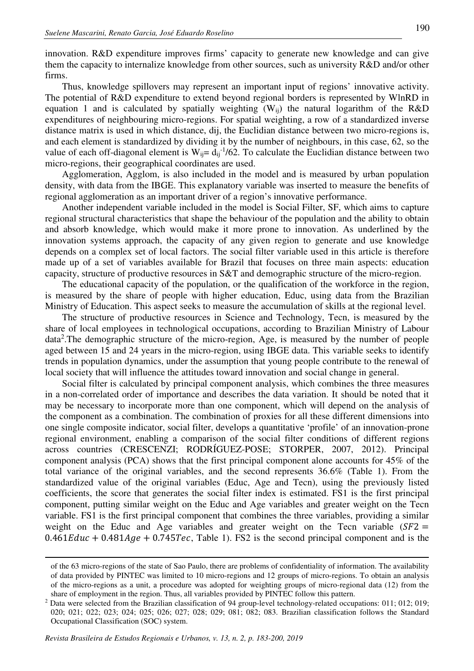innovation. R&D expenditure improves firms' capacity to generate new knowledge and can give them the capacity to internalize knowledge from other sources, such as university R&D and/or other firms.

Thus, knowledge spillovers may represent an important input of regions' innovative activity. The potential of R&D expenditure to extend beyond regional borders is represented by WlnRD in equation 1 and is calculated by spatially weighting  $(W_{ii})$  the natural logarithm of the R&D expenditures of neighbouring micro-regions. For spatial weighting, a row of a standardized inverse distance matrix is used in which distance, dij, the Euclidian distance between two micro-regions is, and each element is standardized by dividing it by the number of neighbours, in this case, 62, so the value of each off-diagonal element is  $W_{ij} = d_{ij}^{-1}/62$ . To calculate the Euclidian distance between two micro-regions, their geographical coordinates are used.

Agglomeration, Agglom, is also included in the model and is measured by urban population density, with data from the IBGE. This explanatory variable was inserted to measure the benefits of regional agglomeration as an important driver of a region's innovative performance.

Another independent variable included in the model is Social Filter, SF, which aims to capture regional structural characteristics that shape the behaviour of the population and the ability to obtain and absorb knowledge, which would make it more prone to innovation. As underlined by the innovation systems approach, the capacity of any given region to generate and use knowledge depends on a complex set of local factors. The social filter variable used in this article is therefore made up of a set of variables available for Brazil that focuses on three main aspects: education capacity, structure of productive resources in S&T and demographic structure of the micro-region.

The educational capacity of the population, or the qualification of the workforce in the region, is measured by the share of people with higher education, Educ, using data from the Brazilian Ministry of Education. This aspect seeks to measure the accumulation of skills at the regional level.

The structure of productive resources in Science and Technology, Tecn, is measured by the share of local employees in technological occupations, according to Brazilian Ministry of Labour data<sup>2</sup>. The demographic structure of the micro-region, Age, is measured by the number of people aged between 15 and 24 years in the micro-region, using IBGE data. This variable seeks to identify trends in population dynamics, under the assumption that young people contribute to the renewal of local society that will influence the attitudes toward innovation and social change in general.

Social filter is calculated by principal component analysis, which combines the three measures in a non-correlated order of importance and describes the data variation. It should be noted that it may be necessary to incorporate more than one component, which will depend on the analysis of the component as a combination. The combination of proxies for all these different dimensions into one single composite indicator, social filter, develops a quantitative 'profile' of an innovation-prone regional environment, enabling a comparison of the social filter conditions of different regions across countries (CRESCENZI; RODRÍGUEZ-POSE; STORPER, 2007, 2012). Principal component analysis (PCA) shows that the first principal component alone accounts for 45% of the total variance of the original variables, and the second represents 36.6% (Table 1). From the standardized value of the original variables (Educ, Age and Tecn), using the previously listed coefficients, the score that generates the social filter index is estimated. FS1 is the first principal component, putting similar weight on the Educ and Age variables and greater weight on the Tecn variable. FS1 is the first principal component that combines the three variables, providing a similar weight on the Educ and Age variables and greater weight on the Tecn variable  $(SF2 =$  $0.461Educ + 0.481Age + 0.745Tec$ , Table 1). FS2 is the second principal component and is the

 $\overline{a}$ 

of the 63 micro-regions of the state of Sao Paulo, there are problems of confidentiality of information. The availability of data provided by PINTEC was limited to 10 micro-regions and 12 groups of micro-regions. To obtain an analysis of the micro-regions as a unit, a procedure was adopted for weighting groups of micro-regional data (12) from the share of employment in the region. Thus, all variables provided by PINTEC follow this pattern.

<sup>&</sup>lt;sup>2</sup> Data were selected from the Brazilian classification of 94 group-level technology-related occupations: 011; 012; 019; 020; 021; 022; 023; 024; 025; 026; 027; 028; 029; 081; 082; 083. Brazilian classification follows the Standard Occupational Classification (SOC) system.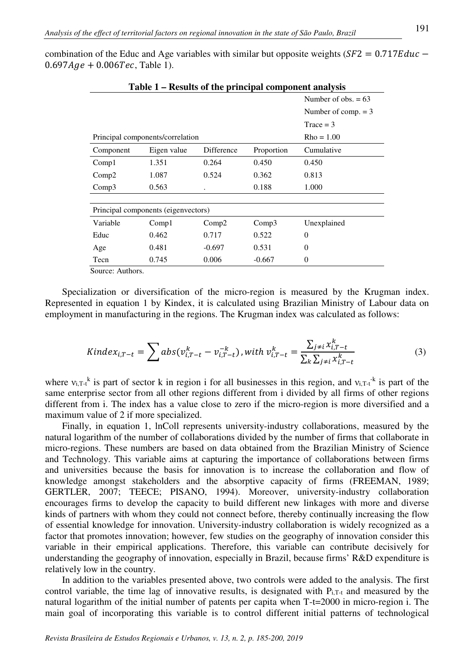combination of the Educ and Age variables with similar but opposite weights ( $S F2 = 0.717E duc 0.697Age + 0.006Tec$ , Table 1).

| Table 1 – Results of the principal component analysis |                                     |                       |             |             |  |  |  |  |  |  |
|-------------------------------------------------------|-------------------------------------|-----------------------|-------------|-------------|--|--|--|--|--|--|
|                                                       | Number of obs. $= 63$               |                       |             |             |  |  |  |  |  |  |
|                                                       |                                     | Number of comp. $= 3$ |             |             |  |  |  |  |  |  |
|                                                       |                                     |                       | Trace = $3$ |             |  |  |  |  |  |  |
| Principal components/correlation                      | $Rho = 1.00$                        |                       |             |             |  |  |  |  |  |  |
| Component                                             | Eigen value                         | Difference            | Proportion  | Cumulative  |  |  |  |  |  |  |
| Comp1                                                 | 1.351                               | 0.264                 | 0.450       | 0.450       |  |  |  |  |  |  |
| Comp2                                                 | 1.087                               | 0.524                 | 0.362       | 0.813       |  |  |  |  |  |  |
| Comp3                                                 | 0.563                               |                       | 0.188       | 1.000       |  |  |  |  |  |  |
|                                                       |                                     |                       |             |             |  |  |  |  |  |  |
|                                                       | Principal components (eigenvectors) |                       |             |             |  |  |  |  |  |  |
| Variable                                              | Comp1                               | Comp2                 | Comp3       | Unexplained |  |  |  |  |  |  |
| Educ                                                  | 0.462                               | 0.717                 | 0.522       | $\Omega$    |  |  |  |  |  |  |
| Age                                                   | 0.481                               | $-0.697$              | 0.531       | $\Omega$    |  |  |  |  |  |  |
| Tecn                                                  | 0.745                               | 0.006                 | $-0.667$    | $\theta$    |  |  |  |  |  |  |
| Source: Authors                                       |                                     |                       |             |             |  |  |  |  |  |  |

Source: Authors.

Specialization or diversification of the micro-region is measured by the Krugman index. Represented in equation 1 by Kindex, it is calculated using Brazilian Ministry of Labour data on employment in manufacturing in the regions. The Krugman index was calculated as follows:

$$
Kindex_{i,T-t} = \sum abs(v_{i,T-t}^{k} - v_{i,T-t}^{-k}), with v_{i,T-t}^{k} = \frac{\sum_{j\neq i} x_{i,T-t}^{k}}{\sum_{k} \sum_{j\neq i} x_{i,T-t}^{k}}
$$
(3)

where  $v_{i,T-t}$ <sup>k</sup> is part of sector k in region i for all businesses in this region, and  $v_{i,T-t}$ <sup>k</sup> is part of the same enterprise sector from all other regions different from i divided by all firms of other regions different from i. The index has a value close to zero if the micro-region is more diversified and a maximum value of 2 if more specialized.

Finally, in equation 1, lnColl represents university-industry collaborations, measured by the natural logarithm of the number of collaborations divided by the number of firms that collaborate in micro-regions. These numbers are based on data obtained from the Brazilian Ministry of Science and Technology. This variable aims at capturing the importance of collaborations between firms and universities because the basis for innovation is to increase the collaboration and flow of knowledge amongst stakeholders and the absorptive capacity of firms (FREEMAN, 1989; GERTLER, 2007; TEECE; PISANO, 1994). Moreover, university-industry collaboration encourages firms to develop the capacity to build different new linkages with more and diverse kinds of partners with whom they could not connect before, thereby continually increasing the flow of essential knowledge for innovation. University-industry collaboration is widely recognized as a factor that promotes innovation; however, few studies on the geography of innovation consider this variable in their empirical applications. Therefore, this variable can contribute decisively for understanding the geography of innovation, especially in Brazil, because firms' R&D expenditure is relatively low in the country.

In addition to the variables presented above, two controls were added to the analysis. The first control variable, the time lag of innovative results, is designated with P<sub>i,T-t</sub> and measured by the natural logarithm of the initial number of patents per capita when T-t=2000 in micro-region i. The main goal of incorporating this variable is to control different initial patterns of technological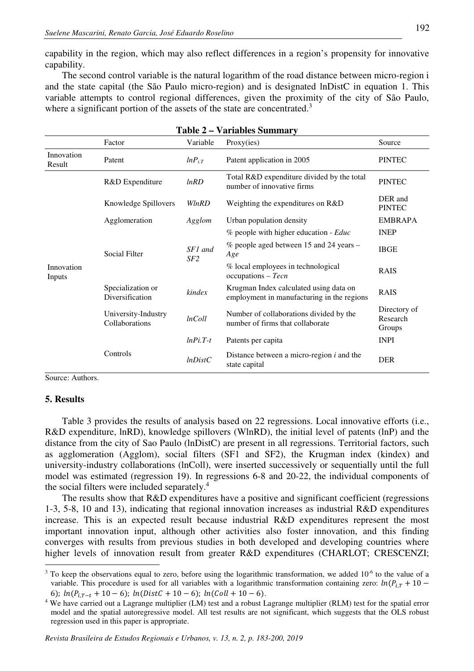capability in the region, which may also reflect differences in a region's propensity for innovative capability.

The second control variable is the natural logarithm of the road distance between micro-region i and the state capital (the São Paulo micro-region) and is designated lnDistC in equation 1. This variable attempts to control regional differences, given the proximity of the city of São Paulo, where a significant portion of the assets of the state are concentrated.<sup>3</sup>

|                      | l avit <i>2</i><br>$-$ , at labics bandled $\lambda$ |                |                                                                                      |                                    |  |  |  |  |  |
|----------------------|------------------------------------------------------|----------------|--------------------------------------------------------------------------------------|------------------------------------|--|--|--|--|--|
|                      | Factor                                               | Variable       | Proxy(ies)                                                                           | Source                             |  |  |  |  |  |
| Innovation<br>Result | Patent                                               | $lnP_{i,T}$    | Patent application in 2005                                                           | <b>PINTEC</b>                      |  |  |  |  |  |
|                      | R&D Expenditure                                      | lnRD           | Total R&D expenditure divided by the total<br>number of innovative firms             | <b>PINTEC</b>                      |  |  |  |  |  |
| Innovation<br>Inputs | Knowledge Spillovers                                 | WlnRD          | Weighting the expenditures on R&D                                                    | DER and<br><b>PINTEC</b>           |  |  |  |  |  |
|                      | Agglomeration                                        | Agglom         | Urban population density                                                             | <b>EMBRAPA</b>                     |  |  |  |  |  |
|                      |                                                      |                | % people with higher education - Educ                                                | <b>INEP</b>                        |  |  |  |  |  |
|                      | Social Filter                                        | SF1 and<br>SF2 | % people aged between 15 and 24 years –<br>Age                                       | <b>IBGE</b>                        |  |  |  |  |  |
|                      |                                                      |                | % local employees in technological<br>$occupations - Tecn$                           | <b>RAIS</b>                        |  |  |  |  |  |
|                      | Specialization or<br>Diversification                 | kindex         | Krugman Index calculated using data on<br>employment in manufacturing in the regions | <b>RAIS</b>                        |  |  |  |  |  |
|                      | University-Industry<br>Collaborations                | <i>lnColl</i>  | Number of collaborations divided by the<br>number of firms that collaborate          | Directory of<br>Research<br>Groups |  |  |  |  |  |
|                      |                                                      | $lnPi.T-t$     | Patents per capita                                                                   | <b>INPI</b>                        |  |  |  |  |  |
|                      | Controls                                             | lnDistC        | Distance between a micro-region $i$ and the<br>state capital                         | <b>DER</b>                         |  |  |  |  |  |

| Table 2 – Variables Summary |  |  |  |  |
|-----------------------------|--|--|--|--|
|-----------------------------|--|--|--|--|

Source: Authors.

#### **5. Results**

Table 3 provides the results of analysis based on 22 regressions. Local innovative efforts (i.e., R&D expenditure, lnRD), knowledge spillovers (WlnRD), the initial level of patents (lnP) and the distance from the city of Sao Paulo (lnDistC) are present in all regressions. Territorial factors, such as agglomeration (Agglom), social filters (SF1 and SF2), the Krugman index (kindex) and university-industry collaborations (lnColl), were inserted successively or sequentially until the full model was estimated (regression 19). In regressions 6-8 and 20-22, the individual components of the social filters were included separately.<sup>4</sup>

The results show that R&D expenditures have a positive and significant coefficient (regressions 1-3, 5-8, 10 and 13), indicating that regional innovation increases as industrial R&D expenditures increase. This is an expected result because industrial R&D expenditures represent the most important innovation input, although other activities also foster innovation, and this finding converges with results from previous studies in both developed and developing countries where higher levels of innovation result from greater R&D expenditures (CHARLOT; CRESCENZI; l

<sup>&</sup>lt;sup>3</sup> To keep the observations equal to zero, before using the logarithmic transformation, we added  $10<sup>-6</sup>$  to the value of a variable. This procedure is used for all variables with a logarithmic transformation containing zero:  $ln(P_{iT} + 10 -$ 6);  $ln(P_{iT-t} + 10 - 6)$ ;  $ln(DistC + 10 - 6)$ ;  $ln(Coll + 10 - 6)$ .

<sup>&</sup>lt;sup>4</sup> We have carried out a Lagrange multiplier (LM) test and a robust Lagrange multiplier (RLM) test for the spatial error model and the spatial autoregressive model. All test results are not significant, which suggests that the OLS robust regression used in this paper is appropriate.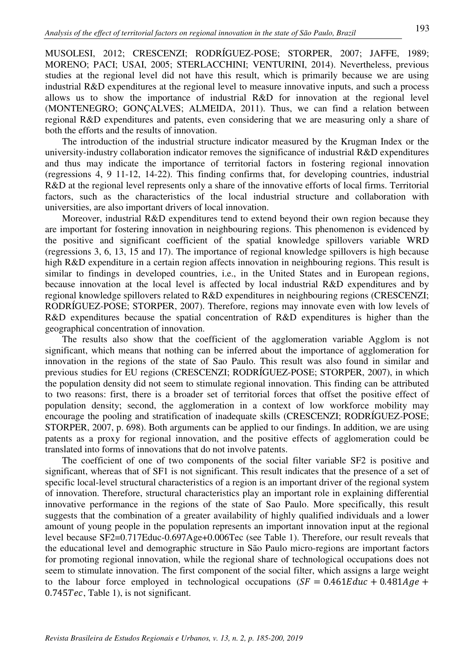MUSOLESI, 2012; CRESCENZI; RODRÍGUEZ-POSE; STORPER, 2007; JAFFE, 1989; MORENO; PACI; USAI, 2005; STERLACCHINI; VENTURINI, 2014). Nevertheless, previous studies at the regional level did not have this result, which is primarily because we are using industrial R&D expenditures at the regional level to measure innovative inputs, and such a process allows us to show the importance of industrial R&D for innovation at the regional level (MONTENEGRO; GONÇALVES; ALMEIDA, 2011). Thus, we can find a relation between regional R&D expenditures and patents, even considering that we are measuring only a share of both the efforts and the results of innovation.

The introduction of the industrial structure indicator measured by the Krugman Index or the university-industry collaboration indicator removes the significance of industrial R&D expenditures and thus may indicate the importance of territorial factors in fostering regional innovation (regressions 4, 9 11-12, 14-22). This finding confirms that, for developing countries, industrial R&D at the regional level represents only a share of the innovative efforts of local firms. Territorial factors, such as the characteristics of the local industrial structure and collaboration with universities, are also important drivers of local innovation.

Moreover, industrial R&D expenditures tend to extend beyond their own region because they are important for fostering innovation in neighbouring regions. This phenomenon is evidenced by the positive and significant coefficient of the spatial knowledge spillovers variable WRD (regressions 3, 6, 13, 15 and 17). The importance of regional knowledge spillovers is high because high R&D expenditure in a certain region affects innovation in neighbouring regions. This result is similar to findings in developed countries, i.e., in the United States and in European regions, because innovation at the local level is affected by local industrial R&D expenditures and by regional knowledge spillovers related to R&D expenditures in neighbouring regions (CRESCENZI; RODRÍGUEZ-POSE; STORPER, 2007). Therefore, regions may innovate even with low levels of R&D expenditures because the spatial concentration of R&D expenditures is higher than the geographical concentration of innovation.

The results also show that the coefficient of the agglomeration variable Agglom is not significant, which means that nothing can be inferred about the importance of agglomeration for innovation in the regions of the state of Sao Paulo. This result was also found in similar and previous studies for EU regions (CRESCENZI; RODRÍGUEZ-POSE; STORPER, 2007), in which the population density did not seem to stimulate regional innovation. This finding can be attributed to two reasons: first, there is a broader set of territorial forces that offset the positive effect of population density; second, the agglomeration in a context of low workforce mobility may encourage the pooling and stratification of inadequate skills (CRESCENZI; RODRÍGUEZ-POSE; STORPER, 2007, p. 698). Both arguments can be applied to our findings. In addition, we are using patents as a proxy for regional innovation, and the positive effects of agglomeration could be translated into forms of innovations that do not involve patents.

The coefficient of one of two components of the social filter variable SF2 is positive and significant, whereas that of SF1 is not significant. This result indicates that the presence of a set of specific local-level structural characteristics of a region is an important driver of the regional system of innovation. Therefore, structural characteristics play an important role in explaining differential innovative performance in the regions of the state of Sao Paulo. More specifically, this result suggests that the combination of a greater availability of highly qualified individuals and a lower amount of young people in the population represents an important innovation input at the regional level because SF2=0.717Educ-0.697Age+0.006Tec (see Table 1). Therefore, our result reveals that the educational level and demographic structure in São Paulo micro-regions are important factors for promoting regional innovation, while the regional share of technological occupations does not seem to stimulate innovation. The first component of the social filter, which assigns a large weight to the labour force employed in technological occupations  $(SF = 0.461Educ + 0.481Age +$  $0.745Tec$ , Table 1), is not significant.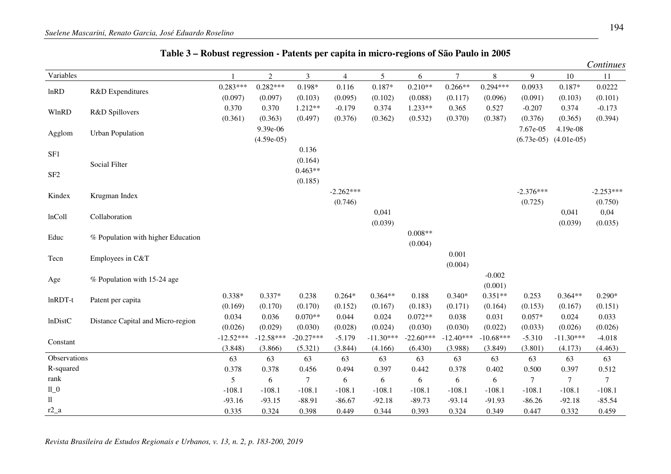|                 |                                    |             |                |                |                |             |             |                |             |             |                           | Continues   |
|-----------------|------------------------------------|-------------|----------------|----------------|----------------|-------------|-------------|----------------|-------------|-------------|---------------------------|-------------|
| Variables       |                                    |             | $\overline{2}$ | $\overline{3}$ | $\overline{4}$ | 5           | 6           | $\overline{7}$ | 8           | 9           | 10                        | 11          |
| lnRD            | R&D Expenditures                   | $0.283***$  | $0.282***$     | $0.198*$       | 0.116          | $0.187*$    | $0.210**$   | $0.266**$      | $0.294***$  | 0.0933      | 0.187*                    | 0.0222      |
|                 |                                    | (0.097)     | (0.097)        | (0.103)        | (0.095)        | (0.102)     | (0.088)     | (0.117)        | (0.096)     | (0.091)     | (0.103)                   | (0.101)     |
| WlnRD           | R&D Spillovers                     | 0.370       | 0.370          | $1.212**$      | $-0.179$       | 0.374       | $1.233**$   | 0.365          | 0.527       | $-0.207$    | 0.374                     | $-0.173$    |
|                 |                                    | (0.361)     | (0.363)        | (0.497)        | (0.376)        | (0.362)     | (0.532)     | (0.370)        | (0.387)     | (0.376)     | (0.365)                   | (0.394)     |
| Agglom          | <b>Urban Population</b>            |             | 9.39e-06       |                |                |             |             |                |             | 7.67e-05    | 4.19e-08                  |             |
|                 |                                    |             | $(4.59e-05)$   |                |                |             |             |                |             |             | $(6.73e-05)$ $(4.01e-05)$ |             |
| SF1             |                                    |             |                | 0.136          |                |             |             |                |             |             |                           |             |
|                 | Social Filter                      |             |                | (0.164)        |                |             |             |                |             |             |                           |             |
| SF <sub>2</sub> |                                    |             |                | $0.463**$      |                |             |             |                |             |             |                           |             |
|                 |                                    |             |                | (0.185)        |                |             |             |                |             |             |                           |             |
| Kindex          | Krugman Index                      |             |                |                | $-2.262***$    |             |             |                |             | $-2.376***$ |                           | $-2.253***$ |
|                 |                                    |             |                |                | (0.746)        |             |             |                |             | (0.725)     |                           | (0.750)     |
| lnColl          | Collaboration                      |             |                |                |                | 0,041       |             |                |             |             | 0,041                     | 0,04        |
|                 |                                    |             |                |                |                | (0.039)     |             |                |             |             | (0.039)                   | (0.035)     |
| Educ            | % Population with higher Education |             |                |                |                |             | $0.008**$   |                |             |             |                           |             |
|                 |                                    |             |                |                |                |             | (0.004)     |                |             |             |                           |             |
| Tecn            | Employees in C&T                   |             |                |                |                |             |             | 0.001          |             |             |                           |             |
|                 |                                    |             |                |                |                |             |             | (0.004)        |             |             |                           |             |
| Age             | % Population with 15-24 age        |             |                |                |                |             |             |                | $-0.002$    |             |                           |             |
|                 |                                    |             |                |                |                |             |             |                | (0.001)     |             |                           |             |
| $ln$ RDT-t      | Patent per capita                  | $0.338*$    | $0.337*$       | 0.238          | $0.264*$       | $0.364**$   | 0.188       | $0.340*$       | $0.351**$   | 0.253       | $0.364**$                 | $0.290*$    |
|                 |                                    | (0.169)     | (0.170)        | (0.170)        | (0.152)        | (0.167)     | (0.183)     | (0.171)        | (0.164)     | (0.153)     | (0.167)                   | (0.151)     |
| <b>lnDistC</b>  | Distance Capital and Micro-region  | 0.034       | 0.036          | $0.070**$      | 0.044          | 0.024       | $0.072**$   | 0.038          | 0.031       | $0.057*$    | 0.024                     | 0.033       |
|                 |                                    | (0.026)     | (0.029)        | (0.030)        | (0.028)        | (0.024)     | (0.030)     | (0.030)        | (0.022)     | (0.033)     | (0.026)                   | (0.026)     |
| Constant        |                                    | $-12.52***$ | $-12.58***$    | $-20.27***$    | $-5.179$       | $-11.30***$ | $-22.60***$ | $-12.40***$    | $-10.68***$ | $-5.310$    | $-11.30***$               | $-4.018$    |
|                 |                                    | (3.848)     | (3.866)        | (5.321)        | (3.844)        | (4.166)     | (6.430)     | (3.988)        | (3.849)     | (3.801)     | (4.173)                   | (4.463)     |
| Observations    |                                    | 63          | 63             | 63             | 63             | 63          | 63          | 63             | 63          | 63          | 63                        | 63          |
| R-squared       |                                    | 0.378       | 0.378          | 0.456          | 0.494          | 0.397       | 0.442       | 0.378          | 0.402       | 0.500       | 0.397                     | 0.512       |
| rank            |                                    | 5           | 6              | $\tau$         | 6              | 6           | 6           | 6              | 6           | $\tau$      | $\boldsymbol{7}$          | $\tau$      |
| $11\_0$         |                                    | $-108.1$    | $-108.1$       | $-108.1$       | $-108.1$       | $-108.1$    | $-108.1$    | $-108.1$       | $-108.1$    | $-108.1$    | $-108.1$                  | $-108.1$    |
| 11              |                                    | $-93.16$    | $-93.15$       | $-88.91$       | $-86.67$       | $-92.18$    | $-89.73$    | $-93.14$       | $-91.93$    | $-86.26$    | $-92.18$                  | $-85.54$    |
| $r2_a$          |                                    | 0.335       | 0.324          | 0.398          | 0.449          | 0.344       | 0.393       | 0.324          | 0.349       | 0.447       | 0.332                     | 0.459       |

# **Table 3 – Robust regression - Patents per capita in micro-regions of São Paulo in 2005**

*Revista Brasileira de Estudos Regionais e Urbanos, v. 13, n. 2, p. 183-200, 2019*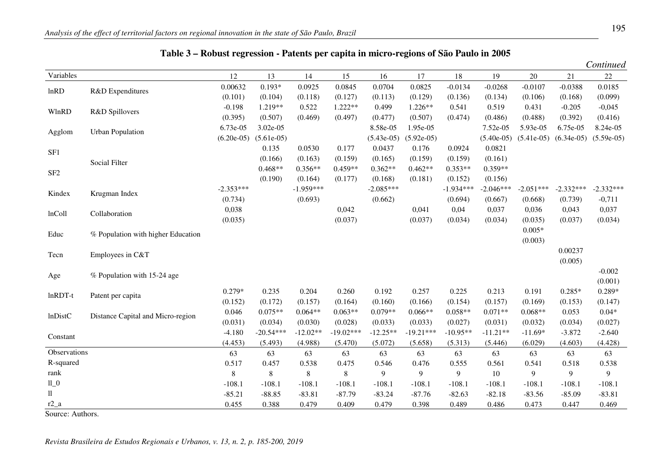|                 |                                    |              |              |             |             |              |              |             |              |              |              | Continued    |
|-----------------|------------------------------------|--------------|--------------|-------------|-------------|--------------|--------------|-------------|--------------|--------------|--------------|--------------|
| Variables       |                                    | 12           | 13           | 14          | 15          | 16           | 17           | $18\,$      | 19           | 20           | 21           | $22\,$       |
| lnRD            | R&D Expenditures                   | 0.00632      | $0.193*$     | 0.0925      | 0.0845      | 0.0704       | 0.0825       | $-0.0134$   | $-0.0268$    | $-0.0107$    | $-0.0388$    | 0.0185       |
|                 |                                    | (0.101)      | (0.104)      | (0.118)     | (0.127)     | (0.113)      | (0.129)      | (0.136)     | (0.134)      | (0.106)      | (0.168)      | (0.099)      |
| WlnRD           | R&D Spillovers                     | $-0.198$     | 1.219**      | 0.522       | $1.222**$   | 0.499        | $1.226**$    | 0.541       | 0.519        | 0.431        | $-0.205$     | $-0,045$     |
|                 |                                    | (0.395)      | (0.507)      | (0.469)     | (0.497)     | (0.477)      | (0.507)      | (0.474)     | (0.486)      | (0.488)      | (0.392)      | (0.416)      |
| Agglom          | <b>Urban Population</b>            | 6.73e-05     | 3.02e-05     |             |             | 8.58e-05     | 1.95e-05     |             | 7.52e-05     | 5.93e-05     | 6.75e-05     | 8.24e-05     |
|                 |                                    | $(6.20e-05)$ | $(5.61e-05)$ |             |             | $(5.43e-05)$ | $(5.92e-05)$ |             | $(5.40e-05)$ | $(5.41e-05)$ | $(6.34e-05)$ | $(5.59e-05)$ |
| SF1             |                                    |              | 0.135        | 0.0530      | 0.177       | 0.0437       | 0.176        | 0.0924      | 0.0821       |              |              |              |
|                 | Social Filter                      |              | (0.166)      | (0.163)     | (0.159)     | (0.165)      | (0.159)      | (0.159)     | (0.161)      |              |              |              |
| SF <sub>2</sub> |                                    |              | $0.468**$    | $0.356**$   | $0.459**$   | $0.362**$    | $0.462**$    | $0.353**$   | $0.359**$    |              |              |              |
|                 |                                    |              | (0.190)      | (0.164)     | (0.177)     | (0.168)      | (0.181)      | (0.152)     | (0.156)      |              |              |              |
| Kindex          | Krugman Index                      | $-2.353***$  |              | $-1.959***$ |             | $-2.085***$  |              | $-1.934***$ | $-2.046***$  | $-2.051***$  | $-2.332***$  | $-2.332***$  |
|                 |                                    | (0.734)      |              | (0.693)     |             | (0.662)      |              | (0.694)     | (0.667)      | (0.668)      | (0.739)      | $-0,711$     |
| lnColl          | Collaboration                      | 0,038        |              |             | 0,042       |              | 0,041        | 0,04        | 0,037        | 0,036        | 0,043        | 0,037        |
|                 |                                    | (0.035)      |              |             | (0.037)     |              | (0.037)      | (0.034)     | (0.034)      | (0.035)      | (0.037)      | (0.034)      |
| Educ            | % Population with higher Education |              |              |             |             |              |              |             |              | $0.005*$     |              |              |
|                 |                                    |              |              |             |             |              |              |             |              | (0.003)      |              |              |
| Tecn            | Employees in C&T                   |              |              |             |             |              |              |             |              |              | 0.00237      |              |
|                 |                                    |              |              |             |             |              |              |             |              |              | (0.005)      |              |
| Age             | % Population with 15-24 age        |              |              |             |             |              |              |             |              |              |              | $-0.002$     |
|                 |                                    |              |              |             |             |              |              |             |              |              |              | (0.001)      |
| $ln$ RDT-t      | Patent per capita                  | $0.279*$     | 0.235        | 0.204       | 0.260       | 0.192        | 0.257        | 0.225       | 0.213        | 0.191        | $0.285*$     | $0.289*$     |
|                 |                                    | (0.152)      | (0.172)      | (0.157)     | (0.164)     | (0.160)      | (0.166)      | (0.154)     | (0.157)      | (0.169)      | (0.153)      | (0.147)      |
| <b>lnDistC</b>  | Distance Capital and Micro-region  | 0.046        | $0.075**$    | $0.064**$   | $0.063**$   | $0.079**$    | $0.066**$    | $0.058**$   | $0.071**$    | $0.068**$    | 0.053        | $0.04*$      |
|                 |                                    | (0.031)      | (0.034)      | (0.030)     | (0.028)     | (0.033)      | (0.033)      | (0.027)     | (0.031)      | (0.032)      | (0.034)      | (0.027)      |
| Constant        |                                    | $-4.180$     | $-20.54***$  | $-12.02**$  | $-19.02***$ | $-12.25**$   | $-19.21***$  | $-10.95**$  | $-11.21**$   | $-11.69*$    | $-3.872$     | $-2.640$     |
|                 |                                    | (4.453)      | (5.493)      | (4.988)     | (5.470)     | (5.072)      | (5.658)      | (5.313)     | (5.446)      | (6.029)      | (4.603)      | (4.428)      |
| Observations    |                                    | 63           | 63           | 63          | 63          | 63           | 63           | 63          | 63           | 63           | 63           | 63           |
| R-squared       |                                    | 0.517        | 0.457        | 0.538       | 0.475       | 0.546        | 0.476        | 0.555       | 0.561        | 0.541        | 0.518        | 0.538        |
| rank            |                                    | 8            | 8            | $\,8\,$     | 8           | 9            | 9            | 9           | 10           | 9            | 9            | 9            |
| $llu$ 0         |                                    | $-108.1$     | $-108.1$     | $-108.1$    | $-108.1$    | $-108.1$     | $-108.1$     | $-108.1$    | $-108.1$     | $-108.1$     | $-108.1$     | $-108.1$     |
| $\rm ll$        |                                    | $-85.21$     | $-88.85$     | $-83.81$    | $-87.79$    | $-83.24$     | $-87.76$     | $-82.63$    | $-82.18$     | $-83.56$     | $-85.09$     | $-83.81$     |
| $r2_a$          |                                    | 0.455        | 0.388        | 0.479       | 0.409       | 0.479        | 0.398        | 0.489       | 0.486        | 0.473        | 0.447        | 0.469        |

## **Table 3 – Robust regression - Patents per capita in micro-regions of São Paulo in 2005**

Source: Authors.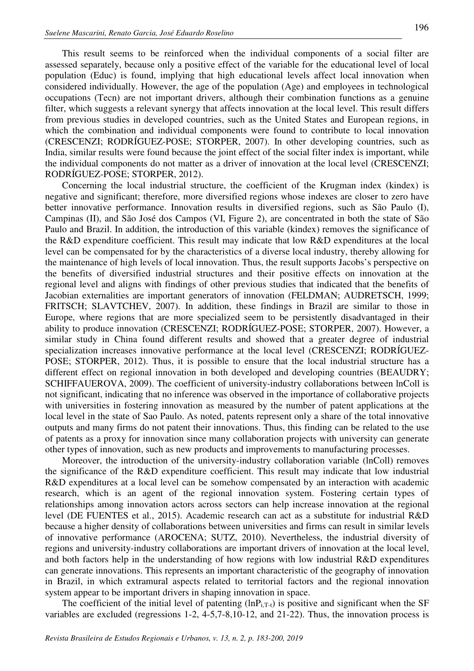This result seems to be reinforced when the individual components of a social filter are assessed separately, because only a positive effect of the variable for the educational level of local population (Educ) is found, implying that high educational levels affect local innovation when considered individually. However, the age of the population (Age) and employees in technological occupations (Tecn) are not important drivers, although their combination functions as a genuine filter, which suggests a relevant synergy that affects innovation at the local level. This result differs from previous studies in developed countries, such as the United States and European regions, in which the combination and individual components were found to contribute to local innovation (CRESCENZI; RODRÍGUEZ-POSE; STORPER, 2007). In other developing countries, such as India, similar results were found because the joint effect of the social filter index is important, while the individual components do not matter as a driver of innovation at the local level (CRESCENZI; RODRÍGUEZ-POSE; STORPER, 2012).

Concerning the local industrial structure, the coefficient of the Krugman index (kindex) is negative and significant; therefore, more diversified regions whose indexes are closer to zero have better innovative performance. Innovation results in diversified regions, such as São Paulo (I), Campinas (II), and São José dos Campos (VI, Figure 2), are concentrated in both the state of São Paulo and Brazil. In addition, the introduction of this variable (kindex) removes the significance of the R&D expenditure coefficient. This result may indicate that low R&D expenditures at the local level can be compensated for by the characteristics of a diverse local industry, thereby allowing for the maintenance of high levels of local innovation. Thus, the result supports Jacobs's perspective on the benefits of diversified industrial structures and their positive effects on innovation at the regional level and aligns with findings of other previous studies that indicated that the benefits of Jacobian externalities are important generators of innovation (FELDMAN; AUDRETSCH, 1999; FRITSCH; SLAVTCHEV, 2007). In addition, these findings in Brazil are similar to those in Europe, where regions that are more specialized seem to be persistently disadvantaged in their ability to produce innovation (CRESCENZI; RODRÍGUEZ-POSE; STORPER, 2007). However, a similar study in China found different results and showed that a greater degree of industrial specialization increases innovative performance at the local level (CRESCENZI; RODRÍGUEZ-POSE; STORPER, 2012). Thus, it is possible to ensure that the local industrial structure has a different effect on regional innovation in both developed and developing countries (BEAUDRY; SCHIFFAUEROVA, 2009). The coefficient of university-industry collaborations between lnColl is not significant, indicating that no inference was observed in the importance of collaborative projects with universities in fostering innovation as measured by the number of patent applications at the local level in the state of Sao Paulo. As noted, patents represent only a share of the total innovative outputs and many firms do not patent their innovations. Thus, this finding can be related to the use of patents as a proxy for innovation since many collaboration projects with university can generate other types of innovation, such as new products and improvements to manufacturing processes.

Moreover, the introduction of the university-industry collaboration variable (lnColl) removes the significance of the R&D expenditure coefficient. This result may indicate that low industrial R&D expenditures at a local level can be somehow compensated by an interaction with academic research, which is an agent of the regional innovation system. Fostering certain types of relationships among innovation actors across sectors can help increase innovation at the regional level (DE FUENTES et al., 2015). Academic research can act as a substitute for industrial R&D because a higher density of collaborations between universities and firms can result in similar levels of innovative performance (AROCENA; SUTZ, 2010). Nevertheless, the industrial diversity of regions and university-industry collaborations are important drivers of innovation at the local level, and both factors help in the understanding of how regions with low industrial R&D expenditures can generate innovations. This represents an important characteristic of the geography of innovation in Brazil, in which extramural aspects related to territorial factors and the regional innovation system appear to be important drivers in shaping innovation in space.

The coefficient of the initial level of patenting  $(lnP_{i,T-t})$  is positive and significant when the SF variables are excluded (regressions 1-2, 4-5,7-8,10-12, and 21-22). Thus, the innovation process is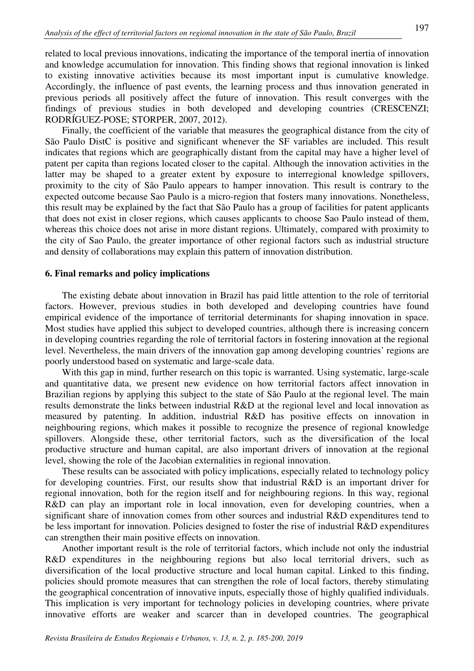related to local previous innovations, indicating the importance of the temporal inertia of innovation and knowledge accumulation for innovation. This finding shows that regional innovation is linked to existing innovative activities because its most important input is cumulative knowledge. Accordingly, the influence of past events, the learning process and thus innovation generated in previous periods all positively affect the future of innovation. This result converges with the findings of previous studies in both developed and developing countries (CRESCENZI; RODRÍGUEZ-POSE; STORPER, 2007, 2012).

Finally, the coefficient of the variable that measures the geographical distance from the city of São Paulo DistC is positive and significant whenever the SF variables are included. This result indicates that regions which are geographically distant from the capital may have a higher level of patent per capita than regions located closer to the capital. Although the innovation activities in the latter may be shaped to a greater extent by exposure to interregional knowledge spillovers, proximity to the city of São Paulo appears to hamper innovation. This result is contrary to the expected outcome because Sao Paulo is a micro-region that fosters many innovations. Nonetheless, this result may be explained by the fact that São Paulo has a group of facilities for patent applicants that does not exist in closer regions, which causes applicants to choose Sao Paulo instead of them, whereas this choice does not arise in more distant regions. Ultimately, compared with proximity to the city of Sao Paulo, the greater importance of other regional factors such as industrial structure and density of collaborations may explain this pattern of innovation distribution.

### **6. Final remarks and policy implications**

The existing debate about innovation in Brazil has paid little attention to the role of territorial factors. However, previous studies in both developed and developing countries have found empirical evidence of the importance of territorial determinants for shaping innovation in space. Most studies have applied this subject to developed countries, although there is increasing concern in developing countries regarding the role of territorial factors in fostering innovation at the regional level. Nevertheless, the main drivers of the innovation gap among developing countries' regions are poorly understood based on systematic and large-scale data.

With this gap in mind, further research on this topic is warranted. Using systematic, large-scale and quantitative data, we present new evidence on how territorial factors affect innovation in Brazilian regions by applying this subject to the state of São Paulo at the regional level. The main results demonstrate the links between industrial R&D at the regional level and local innovation as measured by patenting. In addition, industrial R&D has positive effects on innovation in neighbouring regions, which makes it possible to recognize the presence of regional knowledge spillovers. Alongside these, other territorial factors, such as the diversification of the local productive structure and human capital, are also important drivers of innovation at the regional level, showing the role of the Jacobian externalities in regional innovation.

These results can be associated with policy implications, especially related to technology policy for developing countries. First, our results show that industrial R&D is an important driver for regional innovation, both for the region itself and for neighbouring regions. In this way, regional R&D can play an important role in local innovation, even for developing countries, when a significant share of innovation comes from other sources and industrial R&D expenditures tend to be less important for innovation. Policies designed to foster the rise of industrial R&D expenditures can strengthen their main positive effects on innovation.

Another important result is the role of territorial factors, which include not only the industrial R&D expenditures in the neighbouring regions but also local territorial drivers, such as diversification of the local productive structure and local human capital. Linked to this finding, policies should promote measures that can strengthen the role of local factors, thereby stimulating the geographical concentration of innovative inputs, especially those of highly qualified individuals. This implication is very important for technology policies in developing countries, where private innovative efforts are weaker and scarcer than in developed countries. The geographical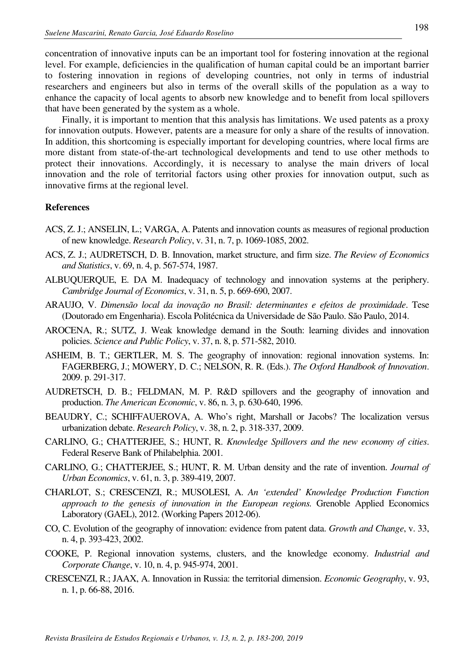concentration of innovative inputs can be an important tool for fostering innovation at the regional level. For example, deficiencies in the qualification of human capital could be an important barrier to fostering innovation in regions of developing countries, not only in terms of industrial researchers and engineers but also in terms of the overall skills of the population as a way to enhance the capacity of local agents to absorb new knowledge and to benefit from local spillovers that have been generated by the system as a whole.

Finally, it is important to mention that this analysis has limitations. We used patents as a proxy for innovation outputs. However, patents are a measure for only a share of the results of innovation. In addition, this shortcoming is especially important for developing countries, where local firms are more distant from state-of-the-art technological developments and tend to use other methods to protect their innovations. Accordingly, it is necessary to analyse the main drivers of local innovation and the role of territorial factors using other proxies for innovation output, such as innovative firms at the regional level.

### **References**

- ACS, Z. J.; ANSELIN, L.; VARGA, A. Patents and innovation counts as measures of regional production of new knowledge. *Research Policy*, v. 31, n. 7, p. 1069-1085, 2002.
- ACS, Z. J.; AUDRETSCH, D. B. Innovation, market structure, and firm size. *The Review of Economics and Statistics*, v. 69, n. 4, p. 567-574, 1987.
- ALBUQUERQUE, E. DA M. Inadequacy of technology and innovation systems at the periphery. *Cambridge Journal of Economics*, v. 31, n. 5, p. 669-690, 2007.
- ARAUJO, V. *Dimensão local da inovação no Brasil: determinantes e efeitos de proximidade*. Tese (Doutorado em Engenharia). Escola Politécnica da Universidade de São Paulo. São Paulo, 2014.
- AROCENA, R.; SUTZ, J. Weak knowledge demand in the South: learning divides and innovation policies. *Science and Public Policy*, v. 37, n. 8, p. 571-582, 2010.
- ASHEIM, B. T.; GERTLER, M. S. The geography of innovation: regional innovation systems. In: FAGERBERG, J.; MOWERY, D. C.; NELSON, R. R. (Eds.). *The Oxford Handbook of Innovation*. 2009. p. 291-317.
- AUDRETSCH, D. B.; FELDMAN, M. P. R&D spillovers and the geography of innovation and production. *The American Economic*, v. 86, n. 3, p. 630-640, 1996.
- BEAUDRY, C.; SCHIFFAUEROVA, A. Who's right, Marshall or Jacobs? The localization versus urbanization debate. *Research Policy*, v. 38, n. 2, p. 318-337, 2009.
- CARLINO, G.; CHATTERJEE, S.; HUNT, R. *Knowledge Spillovers and the new economy of cities*. Federal Reserve Bank of Philabelphia. 2001.
- CARLINO, G.; CHATTERJEE, S.; HUNT, R. M. Urban density and the rate of invention. *Journal of Urban Economics*, v. 61, n. 3, p. 389-419, 2007.
- CHARLOT, S.; CRESCENZI, R.; MUSOLESI, A. *An 'extended' Knowledge Production Function approach to the genesis of innovation in the European regions.* Grenoble Applied Economics Laboratory (GAEL), 2012. (Working Papers 2012-06).
- CO, C. Evolution of the geography of innovation: evidence from patent data. *Growth and Change*, v. 33, n. 4, p. 393-423, 2002.
- COOKE, P. Regional innovation systems, clusters, and the knowledge economy. *Industrial and Corporate Change*, v. 10, n. 4, p. 945-974, 2001.
- CRESCENZI, R.; JAAX, A. Innovation in Russia: the territorial dimension. *Economic Geography*, v. 93, n. 1, p. 66-88, 2016.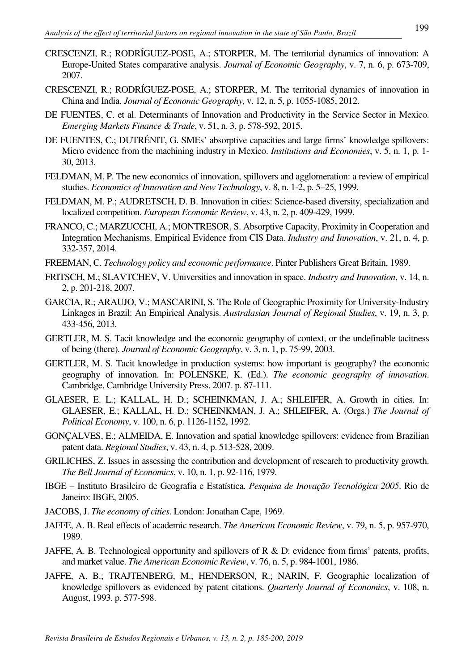- CRESCENZI, R.; RODRÍGUEZ-POSE, A.; STORPER, M. The territorial dynamics of innovation: A Europe-United States comparative analysis. *Journal of Economic Geography*, v. 7, n. 6, p. 673-709, 2007.
- CRESCENZI, R.; RODRÍGUEZ-POSE, A.; STORPER, M. The territorial dynamics of innovation in China and India. *Journal of Economic Geography*, v. 12, n. 5, p. 1055-1085, 2012.
- DE FUENTES, C. et al. Determinants of Innovation and Productivity in the Service Sector in Mexico. *Emerging Markets Finance & Trade*, v. 51, n. 3, p. 578-592, 2015.
- DE FUENTES, C.; DUTRÉNIT, G. SMEs' absorptive capacities and large firms' knowledge spillovers: Micro evidence from the machining industry in Mexico. *Institutions and Economies*, v. 5, n. 1, p. 1- 30, 2013.
- FELDMAN, M. P. The new economics of innovation, spillovers and agglomeration: a review of empirical studies. *Economics of Innovation and New Technology*, v. 8, n. 1-2, p. 5–25, 1999.
- FELDMAN, M. P.; AUDRETSCH, D. B. Innovation in cities: Science-based diversity, specialization and localized competition. *European Economic Review*, v. 43, n. 2, p. 409-429, 1999.
- FRANCO, C.; MARZUCCHI, A.; MONTRESOR, S. Absorptive Capacity, Proximity in Cooperation and Integration Mechanisms. Empirical Evidence from CIS Data. *Industry and Innovation*, v. 21, n. 4, p. 332-357, 2014.
- FREEMAN, C. *Technology policy and economic performance*. Pinter Publishers Great Britain, 1989.
- FRITSCH, M.; SLAVTCHEV, V. Universities and innovation in space. *Industry and Innovation*, v. 14, n. 2, p. 201-218, 2007.
- GARCIA, R.; ARAUJO, V.; MASCARINI, S. The Role of Geographic Proximity for University-Industry Linkages in Brazil: An Empirical Analysis. *Australasian Journal of Regional Studies*, v. 19, n. 3, p. 433-456, 2013.
- GERTLER, M. S. Tacit knowledge and the economic geography of context, or the undefinable tacitness of being (there). *Journal of Economic Geography*, v. 3, n. 1, p. 75-99, 2003.
- GERTLER, M. S. Tacit knowledge in production systems: how important is geography? the economic geography of innovation. In: POLENSKE, K. (Ed.). *The economic geography of innovation*. Cambridge, Cambridge University Press, 2007. p. 87-111.
- GLAESER, E. L.; KALLAL, H. D.; SCHEINKMAN, J. A.; SHLEIFER, A. Growth in cities. In: GLAESER, E.; KALLAL, H. D.; SCHEINKMAN, J. A.; SHLEIFER, A. (Orgs.) *The Journal of Political Economy*, v. 100, n. 6, p. 1126-1152, 1992.
- GONÇALVES, E.; ALMEIDA, E. Innovation and spatial knowledge spillovers: evidence from Brazilian patent data. *Regional Studies*, v. 43, n. 4, p. 513-528, 2009.
- GRILICHES, Z. Issues in assessing the contribution and development of research to productivity growth. *The Bell Journal of Economics*, v. 10, n. 1, p. 92-116, 1979.
- IBGE Instituto Brasileiro de Geografia e Estatística. *Pesquisa de Inovação Tecnológica 2005*. Rio de Janeiro: IBGE, 2005.
- JACOBS, J. *The economy of cities*. London: Jonathan Cape, 1969.
- JAFFE, A. B. Real effects of academic research. *The American Economic Review*, v. 79, n. 5, p. 957-970, 1989.
- JAFFE, A. B. Technological opportunity and spillovers of R & D: evidence from firms' patents, profits, and market value. *The American Economic Review*, v. 76, n. 5, p. 984-1001, 1986.
- JAFFE, A. B.; TRAJTENBERG, M.; HENDERSON, R.; NARIN, F. Geographic localization of knowledge spillovers as evidenced by patent citations. *Quarterly Journal of Economics*, v. 108, n. August, 1993. p. 577-598.